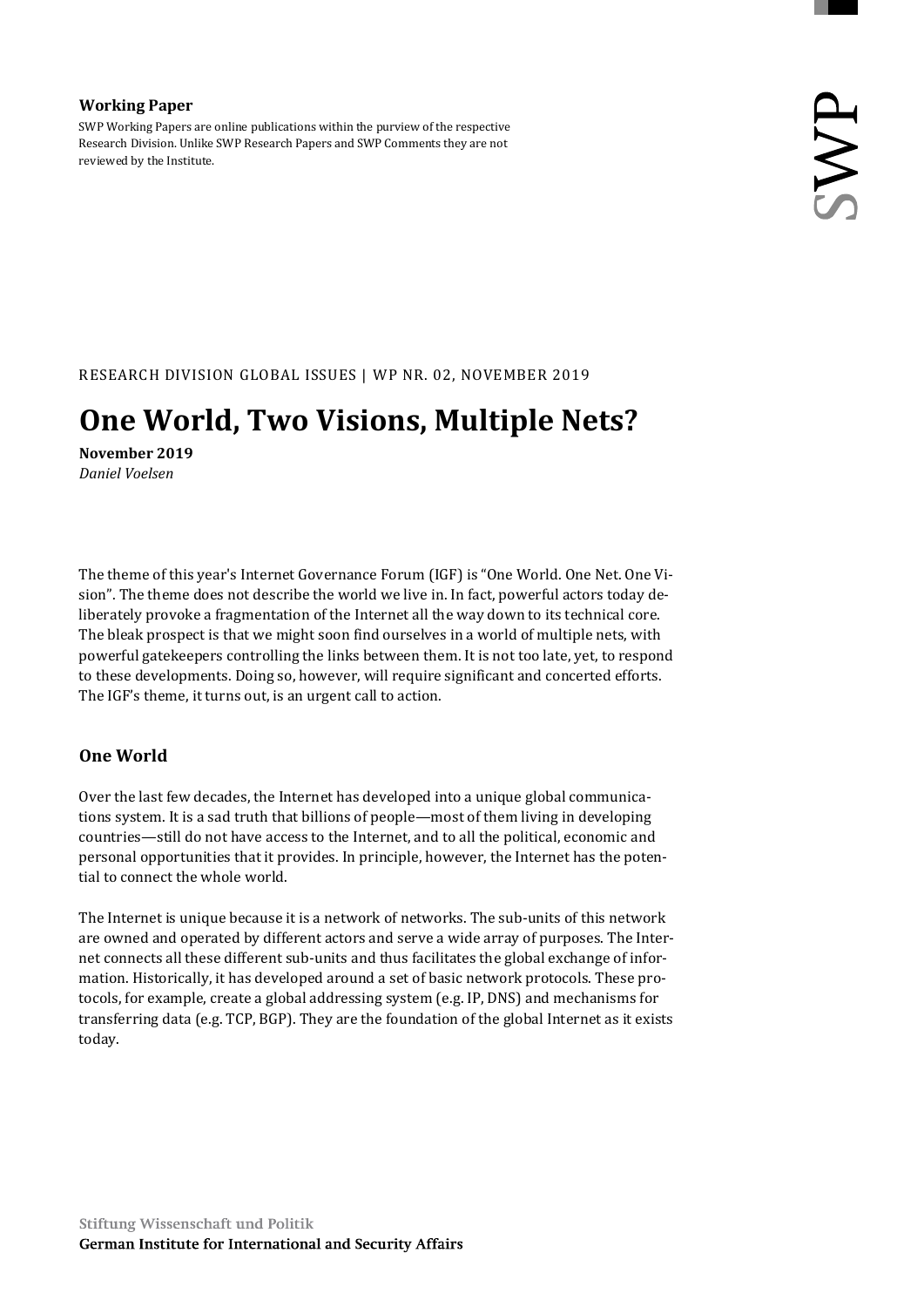## Working Paper

SWP Working Papers are online publications within the purview of the respective Research Division. Unlike SWP Research Papers and SWP Comments they are not reviewed by the Institute.

RESEARCH DIVISION GLOBAL ISSUES | WP NR. 02, NOVEMBER 2019

# One World, Two Visions, Multiple Nets?

November 2019 Daniel Voelsen

The theme of this year's Internet Governance Forum (IGF) is "One World. One Net. One Vision". The theme does not describe the world we live in. In fact, powerful actors today deliberately provoke a fragmentation of the Internet all the way down to its technical core. The bleak prospect is that we might soon find ourselves in a world of multiple nets, with powerful gatekeepers controlling the links between them. It is not too late, yet, to respond to these developments. Doing so, however, will require significant and concerted efforts. The IGF's theme, it turns out, is an urgent call to action.

# One World

Over the last few decades, the Internet has developed into a unique global communications system. It is a sad truth that billions of people—most of them living in developing countries—still do not have access to the Internet, and to all the political, economic and personal opportunities that it provides. In principle, however, the Internet has the potential to connect the whole world.

The Internet is unique because it is a network of networks. The sub-units of this network are owned and operated by different actors and serve a wide array of purposes. The Internet connects all these different sub-units and thus facilitates the global exchange of information. Historically, it has developed around a set of basic network protocols. These protocols, for example, create a global addressing system (e.g. IP, DNS) and mechanisms for transferring data (e.g. TCP, BGP). They are the foundation of the global Internet as it exists today.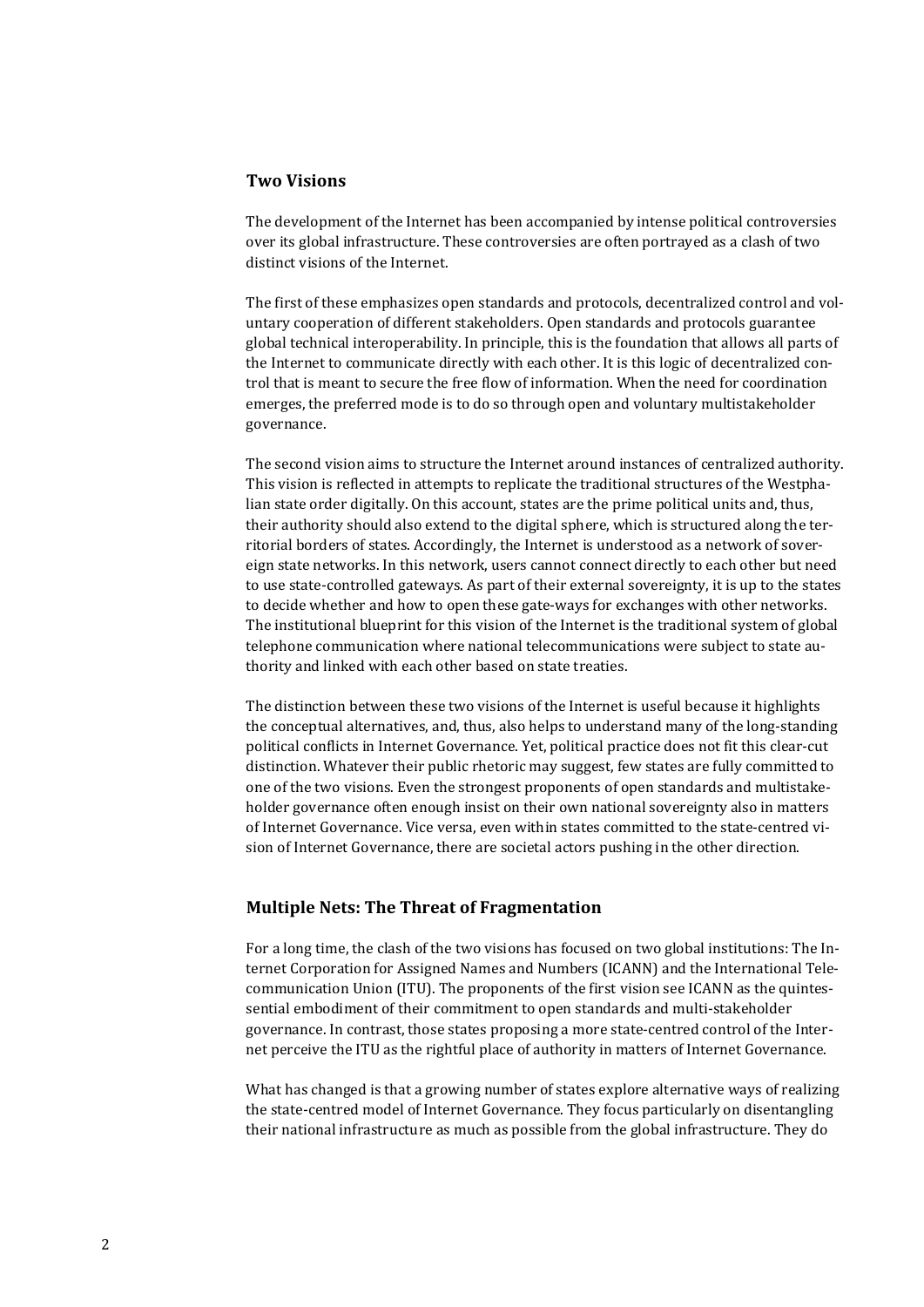## Two Visions

The development of the Internet has been accompanied by intense political controversies over its global infrastructure. These controversies are often portrayed as a clash of two distinct visions of the Internet.

The first of these emphasizes open standards and protocols, decentralized control and voluntary cooperation of different stakeholders. Open standards and protocols guarantee global technical interoperability. In principle, this is the foundation that allows all parts of the Internet to communicate directly with each other. It is this logic of decentralized control that is meant to secure the free flow of information. When the need for coordination emerges, the preferred mode is to do so through open and voluntary multistakeholder governance.

The second vision aims to structure the Internet around instances of centralized authority. This vision is reflected in attempts to replicate the traditional structures of the Westphalian state order digitally. On this account, states are the prime political units and, thus, their authority should also extend to the digital sphere, which is structured along the territorial borders of states. Accordingly, the Internet is understood as a network of sovereign state networks. In this network, users cannot connect directly to each other but need to use state-controlled gateways. As part of their external sovereignty, it is up to the states to decide whether and how to open these gate-ways for exchanges with other networks. The institutional blueprint for this vision of the Internet is the traditional system of global telephone communication where national telecommunications were subject to state authority and linked with each other based on state treaties.

The distinction between these two visions of the Internet is useful because it highlights the conceptual alternatives, and, thus, also helps to understand many of the long-standing political conflicts in Internet Governance. Yet, political practice does not fit this clear-cut distinction. Whatever their public rhetoric may suggest, few states are fully committed to one of the two visions. Even the strongest proponents of open standards and multistakeholder governance often enough insist on their own national sovereignty also in matters of Internet Governance. Vice versa, even within states committed to the state-centred vision of Internet Governance, there are societal actors pushing in the other direction.

## Multiple Nets: The Threat of Fragmentation

For a long time, the clash of the two visions has focused on two global institutions: The Internet Corporation for Assigned Names and Numbers (ICANN) and the International Telecommunication Union (ITU). The proponents of the first vision see ICANN as the quintessential embodiment of their commitment to open standards and multi-stakeholder governance. In contrast, those states proposing a more state-centred control of the Internet perceive the ITU as the rightful place of authority in matters of Internet Governance.

What has changed is that a growing number of states explore alternative ways of realizing the state-centred model of Internet Governance. They focus particularly on disentangling their national infrastructure as much as possible from the global infrastructure. They do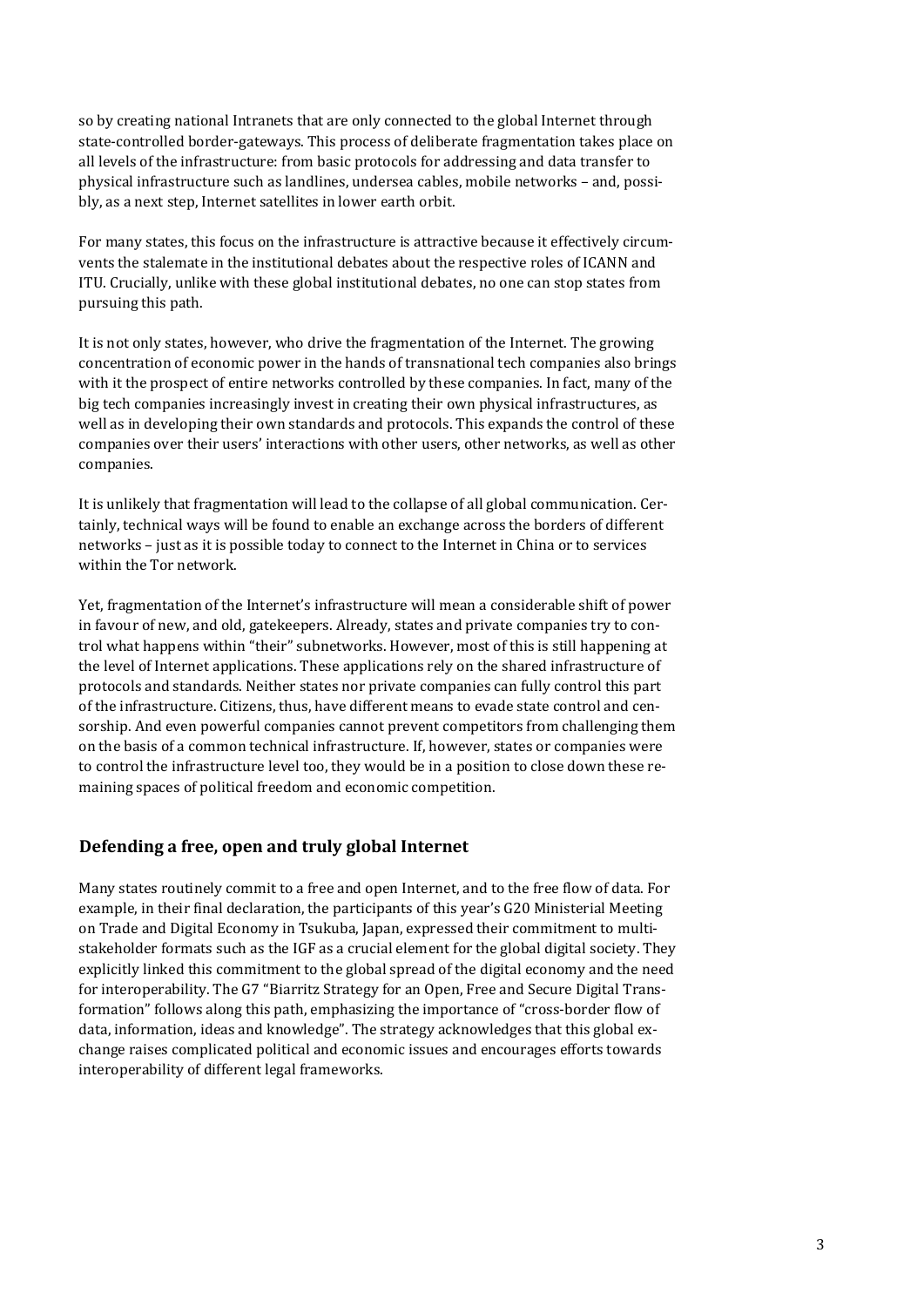so by creating national Intranets that are only connected to the global Internet through state-controlled border-gateways. This process of deliberate fragmentation takes place on all levels of the infrastructure: from basic protocols for addressing and data transfer to physical infrastructure such as landlines, undersea cables, mobile networks – and, possibly, as a next step, Internet satellites in lower earth orbit.

For many states, this focus on the infrastructure is attractive because it effectively circumvents the stalemate in the institutional debates about the respective roles of ICANN and ITU. Crucially, unlike with these global institutional debates, no one can stop states from pursuing this path.

It is not only states, however, who drive the fragmentation of the Internet. The growing concentration of economic power in the hands of transnational tech companies also brings with it the prospect of entire networks controlled by these companies. In fact, many of the big tech companies increasingly invest in creating their own physical infrastructures, as well as in developing their own standards and protocols. This expands the control of these companies over their users' interactions with other users, other networks, as well as other companies.

It is unlikely that fragmentation will lead to the collapse of all global communication. Certainly, technical ways will be found to enable an exchange across the borders of different networks – just as it is possible today to connect to the Internet in China or to services within the Tor network.

Yet, fragmentation of the Internet's infrastructure will mean a considerable shift of power in favour of new, and old, gatekeepers. Already, states and private companies try to control what happens within "their" subnetworks. However, most of this is still happening at the level of Internet applications. These applications rely on the shared infrastructure of protocols and standards. Neither states nor private companies can fully control this part of the infrastructure. Citizens, thus, have different means to evade state control and censorship. And even powerful companies cannot prevent competitors from challenging them on the basis of a common technical infrastructure. If, however, states or companies were to control the infrastructure level too, they would be in a position to close down these remaining spaces of political freedom and economic competition.

# Defending a free, open and truly global Internet

Many states routinely commit to a free and open Internet, and to the free flow of data. For example, in their final declaration, the participants of this year's G20 Ministerial Meeting on Trade and Digital Economy in Tsukuba, Japan, expressed their commitment to multistakeholder formats such as the IGF as a crucial element for the global digital society. They explicitly linked this commitment to the global spread of the digital economy and the need for interoperability. The G7 "Biarritz Strategy for an Open, Free and Secure Digital Transformation" follows along this path, emphasizing the importance of "cross-border flow of data, information, ideas and knowledge". The strategy acknowledges that this global exchange raises complicated political and economic issues and encourages efforts towards interoperability of different legal frameworks.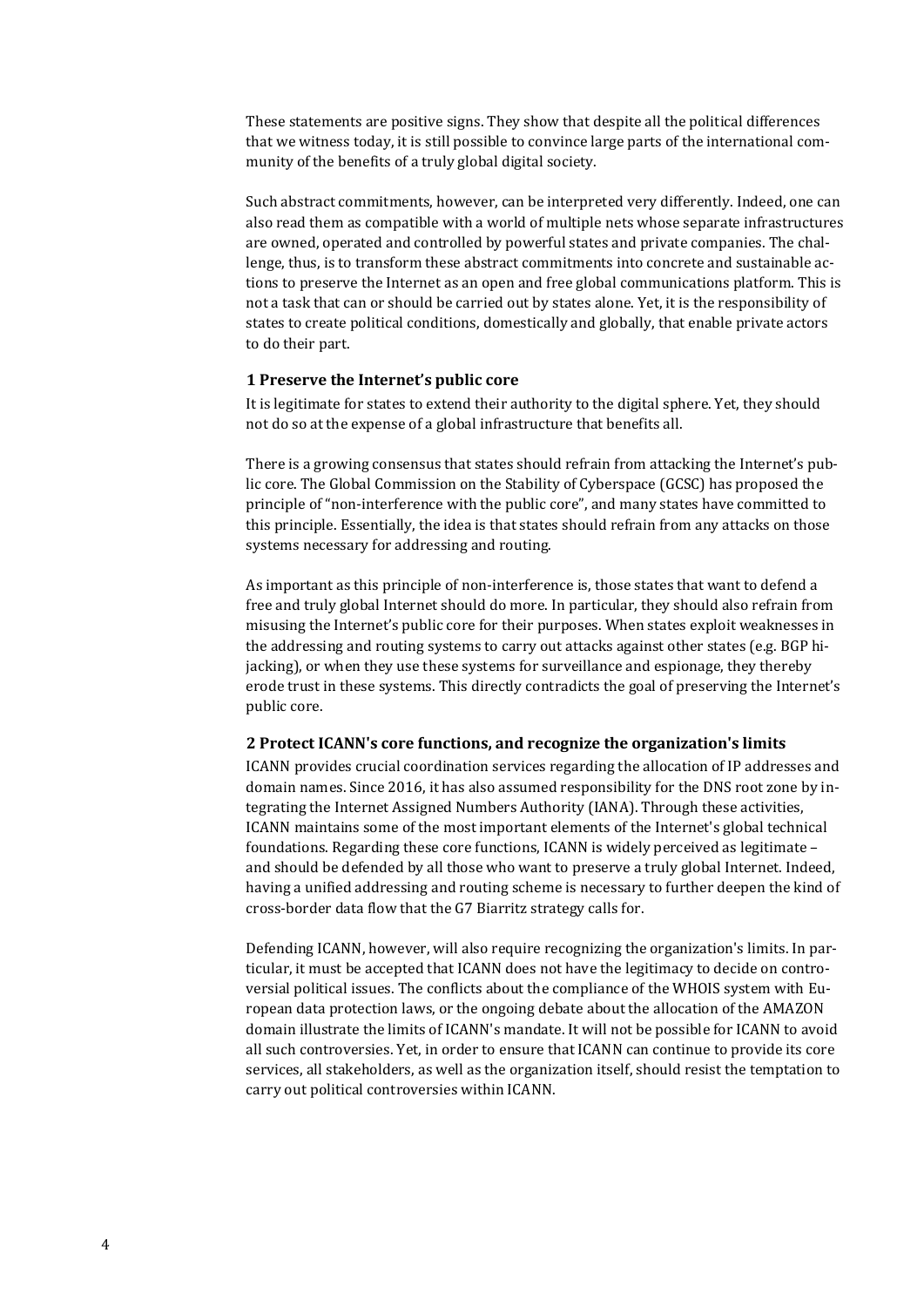These statements are positive signs. They show that despite all the political differences that we witness today, it is still possible to convince large parts of the international community of the benefits of a truly global digital society.

Such abstract commitments, however, can be interpreted very differently. Indeed, one can also read them as compatible with a world of multiple nets whose separate infrastructures are owned, operated and controlled by powerful states and private companies. The challenge, thus, is to transform these abstract commitments into concrete and sustainable actions to preserve the Internet as an open and free global communications platform. This is not a task that can or should be carried out by states alone. Yet, it is the responsibility of states to create political conditions, domestically and globally, that enable private actors to do their part.

## 1 Preserve the Internet's public core

It is legitimate for states to extend their authority to the digital sphere. Yet, they should not do so at the expense of a global infrastructure that benefits all.

There is a growing consensus that states should refrain from attacking the Internet's public core. The Global Commission on the Stability of Cyberspace (GCSC) has proposed the principle of "non-interference with the public core", and many states have committed to this principle. Essentially, the idea is that states should refrain from any attacks on those systems necessary for addressing and routing.

As important as this principle of non-interference is, those states that want to defend a free and truly global Internet should do more. In particular, they should also refrain from misusing the Internet's public core for their purposes. When states exploit weaknesses in the addressing and routing systems to carry out attacks against other states (e.g. BGP hijacking), or when they use these systems for surveillance and espionage, they thereby erode trust in these systems. This directly contradicts the goal of preserving the Internet's public core.

### 2 Protect ICANN's core functions, and recognize the organization's limits

ICANN provides crucial coordination services regarding the allocation of IP addresses and domain names. Since 2016, it has also assumed responsibility for the DNS root zone by integrating the Internet Assigned Numbers Authority (IANA). Through these activities, ICANN maintains some of the most important elements of the Internet's global technical foundations. Regarding these core functions, ICANN is widely perceived as legitimate – and should be defended by all those who want to preserve a truly global Internet. Indeed, having a unified addressing and routing scheme is necessary to further deepen the kind of cross-border data flow that the G7 Biarritz strategy calls for.

Defending ICANN, however, will also require recognizing the organization's limits. In particular, it must be accepted that ICANN does not have the legitimacy to decide on controversial political issues. The conflicts about the compliance of the WHOIS system with European data protection laws, or the ongoing debate about the allocation of the AMAZON domain illustrate the limits of ICANN's mandate. It will not be possible for ICANN to avoid all such controversies. Yet, in order to ensure that ICANN can continue to provide its core services, all stakeholders, as well as the organization itself, should resist the temptation to carry out political controversies within ICANN.